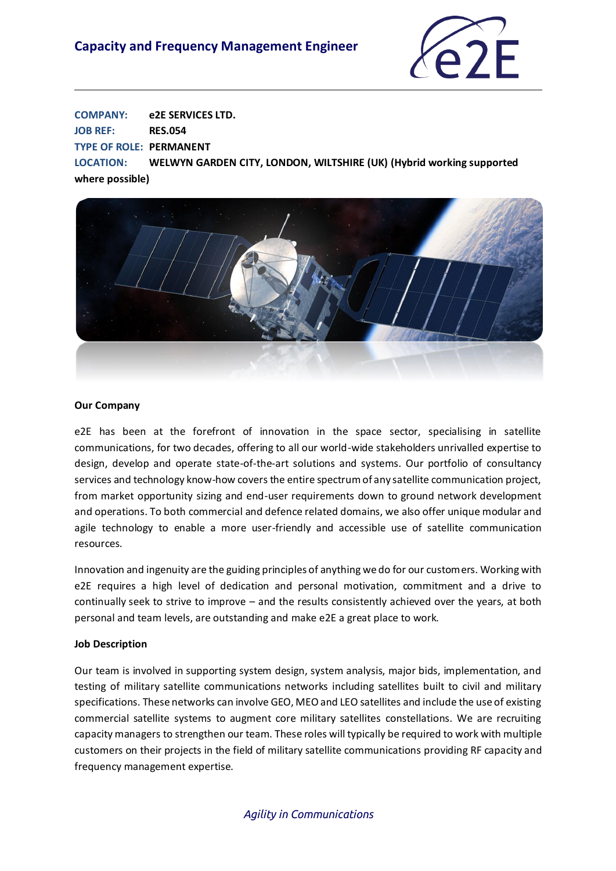## **Capacity and Frequency Management Engineer**



**COMPANY: e2E SERVICES LTD. JOB REF: RES.054 TYPE OF ROLE: PERMANENT LOCATION: WELWYN GARDEN CITY, LONDON, WILTSHIRE (UK) (Hybrid working supported where possible)**



#### **Our Company**

e2E has been at the forefront of innovation in the space sector, specialising in satellite communications, for two decades, offering to all our world-wide stakeholders unrivalled expertise to design, develop and operate state-of-the-art solutions and systems. Our portfolio of consultancy services and technology know-how covers the entire spectrum of any satellite communication project, from market opportunity sizing and end-user requirements down to ground network development and operations. To both commercial and defence related domains, we also offer unique modular and agile technology to enable a more user-friendly and accessible use of satellite communication resources.

Innovation and ingenuity are the guiding principles of anything we do for our customers. Working with e2E requires a high level of dedication and personal motivation, commitment and a drive to continually seek to strive to improve – and the results consistently achieved over the years, at both personal and team levels, are outstanding and make e2E a great place to work.

#### **Job Description**

Our team is involved in supporting system design, system analysis, major bids, implementation, and testing of military satellite communications networks including satellites built to civil and military specifications. These networks can involve GEO, MEO and LEO satellites and include the use of existing commercial satellite systems to augment core military satellites constellations. We are recruiting capacity managers to strengthen our team. These roles will typically be required to work with multiple customers on their projects in the field of military satellite communications providing RF capacity and frequency management expertise.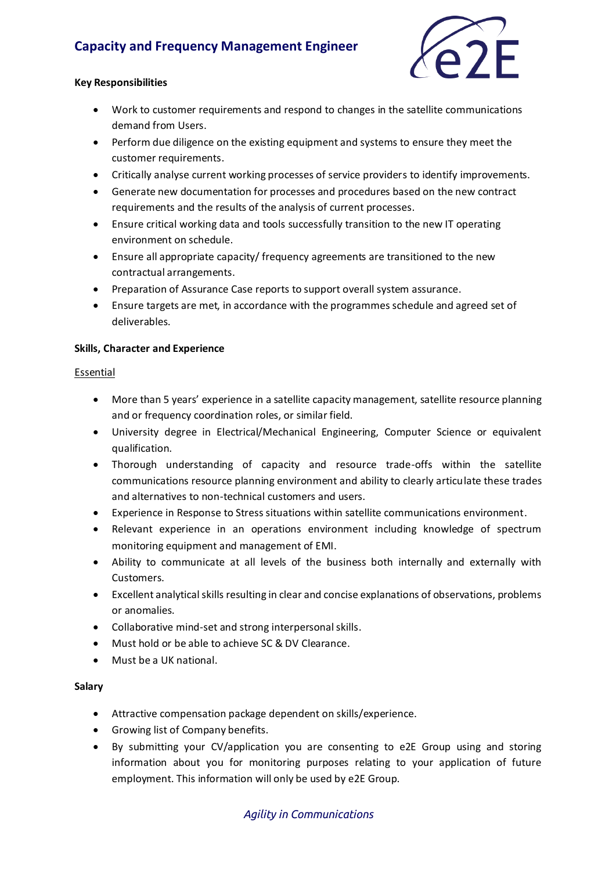# **Capacity and Frequency Management Engineer**



#### **Key Responsibilities**

- Work to customer requirements and respond to changes in the satellite communications demand from Users.
- Perform due diligence on the existing equipment and systems to ensure they meet the customer requirements.
- Critically analyse current working processes of service providers to identify improvements.
- Generate new documentation for processes and procedures based on the new contract requirements and the results of the analysis of current processes.
- Ensure critical working data and tools successfully transition to the new IT operating environment on schedule.
- Ensure all appropriate capacity/ frequency agreements are transitioned to the new contractual arrangements.
- Preparation of Assurance Case reports to support overall system assurance.
- Ensure targets are met, in accordance with the programmes schedule and agreed set of deliverables.

#### **Skills, Character and Experience**

#### Essential

- More than 5 years' experience in a satellite capacity management, satellite resource planning and or frequency coordination roles, or similar field.
- University degree in Electrical/Mechanical Engineering, Computer Science or equivalent qualification.
- Thorough understanding of capacity and resource trade-offs within the satellite communications resource planning environment and ability to clearly articulate these trades and alternatives to non-technical customers and users.
- Experience in Response to Stress situations within satellite communications environment.
- Relevant experience in an operations environment including knowledge of spectrum monitoring equipment and management of EMI.
- Ability to communicate at all levels of the business both internally and externally with Customers.
- Excellent analytical skills resulting in clear and concise explanations of observations, problems or anomalies.
- Collaborative mind-set and strong interpersonal skills.
- Must hold or be able to achieve SC & DV Clearance.
- Must be a UK national.

#### **Salary**

- Attractive compensation package dependent on skills/experience.
- Growing list of Company benefits.
- By submitting your CV/application you are consenting to e2E Group using and storing information about you for monitoring purposes relating to your application of future employment. This information will only be used by e2E Group.

### *Agility in Communications*